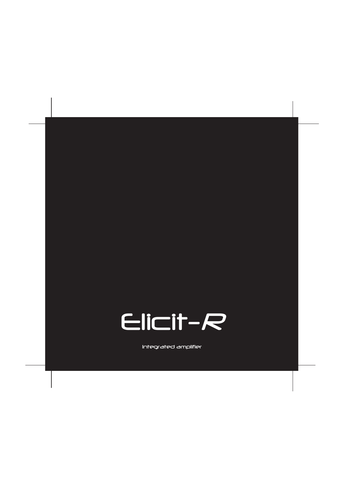# Elicit-R

Integrated amplifier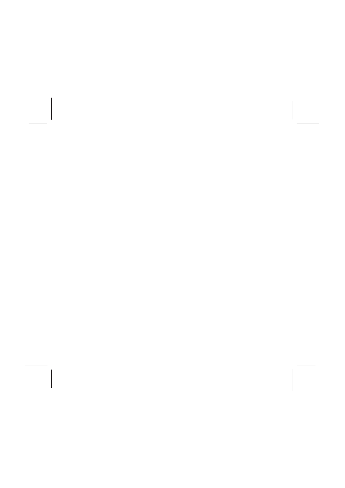$\mathcal{L}_{\mathcal{A}}$  $\overline{\phantom{a}}$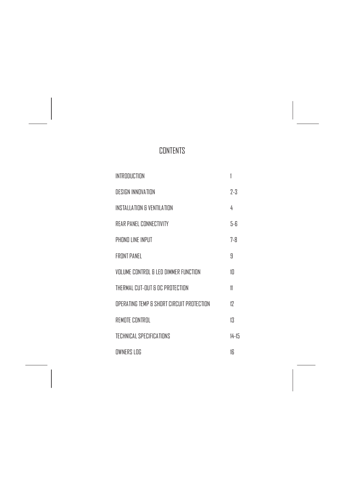## CONTENTS

| INTRODUCTION                                    | 1         |
|-------------------------------------------------|-----------|
| <b>DESIGN INNOVATION</b>                        | $2 - 3$   |
| <b>INSTALLATION &amp; VENTILATION</b>           | 4         |
| <b>REAR PANEL CONNECTIVITY</b>                  | 5-6       |
| PHONO LINE INPUT                                | $7 - 8$   |
| <b>FRONT PANEL</b>                              | 9         |
| <b>VOLUME CONTROL &amp; LED DIMMER FUNCTION</b> | 1П        |
| THERMAL CUT-OUT & DC PROTECTION                 | 11        |
| OPERATING TEMP & SHORT CIRCUIT PROTECTION       | 12        |
| <b>REMOTE CONTROL</b>                           | 13        |
| <b>TECHNICAL SPECIFICATIONS</b>                 | $14 - 15$ |
| OWNERS LOG                                      | 16        |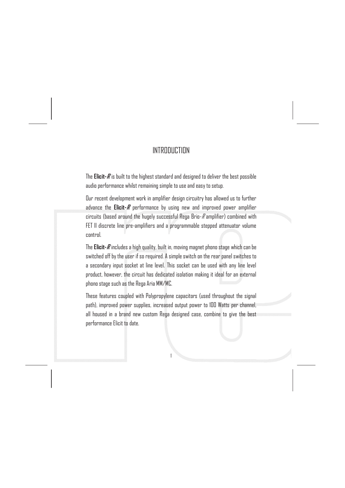#### INTRODUCTION

The **Elicit-R** is built to the highest standard and designed to deliver the best possible audio performance whilst remaining simple to use and easy to setup.

Our recent development work in amplifier design circuitry has allowed us to further advance the **Elicit-R** performance by using new and improved power amplifier circuits (based around the hugely successful Rega Brio-R amplifier) combined with FET II discrete line pre-amplifiers and a programmable stepped attenuator volume control.

The **Elicit-R** includes a high quality, built in, moving magnet phono stage which can be switched off by the user if so required. A simple switch on the rear panel switches to a secondary input socket at line level. This socket can be used with any line level product, however, the circuit has dedicated isolation making it ideal for an external phono stage such as the Rega Aria MM/MC.

These features coupled with Polypropylene capacitors (used throughout the signal path), improved power supplies, increased output power to 100 Watts per channel, all housed in a brand new custom Rega designed case, combine to give the best performance Elicit to date.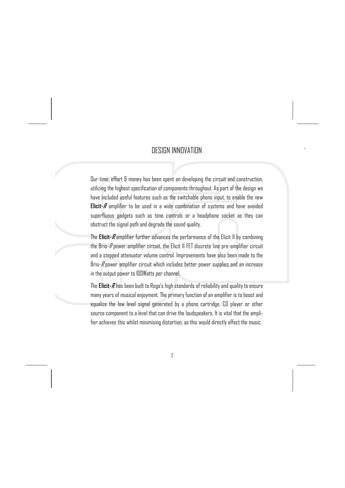#### DESIGN INNOVATION

Our time, effort & money has been spent on developing the circuit and construction, utilizing the highest specification of components throughout. As part of the design we have included useful features such as the switchable phono input, to enable the new **Elicit-R** amplifier to be used in a wide combination of systems and have avoided superfluous gadgets such as tone controls or a headphone socket as they can obstruct the signal path and degrade the sound quality.

The **Elicit-R** amplifier further advances the performance of the Elicit II by combining the Brio-R power amplifier circuit, the Elicit II FET discrete line pre-amplifier circuit and a stepped attenuator volume control. Improvements have also been made to the Brio-R power amplifier circuit which includes better power supplies and an increase in the output power to 100Watts per channel.

The **Elicit-R** has been built to Rega's high standards of reliability and quality to ensure many years of musical enjoyment. The primary function of an amplifier is to boost and equalize the low level signal generated by a phono cartridge, CD player or other source component to a level that can drive the loudspeakers. It is vital that the amplifier achieves this whilst minimising distortion, as this would directly affect the music.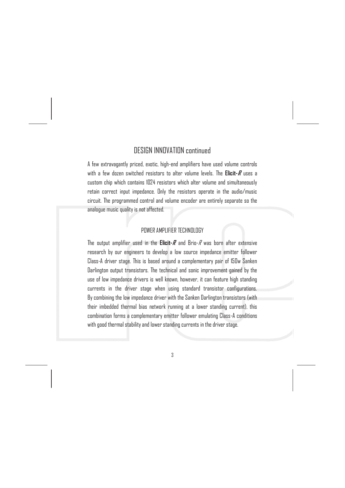#### DESIGN INNOVATION continued

A few extravagantly priced, exotic, high-end amplifiers have used volume controls with a few dozen switched resistors to alter volume levels. The **Elicit-R** uses a custom chip which contains 1024 resistors which alter volume and simultaneously retain correct input impedance. Only the resistors operate in the audio/music circuit. The programmed control and volume encoder are entirely separate so the analogue music quality is not affected.

#### POWER AMPLIFIER TECHNOLOGY

The output amplifier used in the **Elicit-R** and Brio-R was born after extensive research by our engineers to develop a low source impedance emitter follower Class-A driver stage. This is based around a complementary pair of 150w Sanken Darlington output transistors. The technical and sonic improvement gained by the use of low impedance drivers is well known, however, it can feature high standing currents in the driver stage when using standard transistor configurations. By combining the low impedance driver with the Sanken Darlington transistors (with their imbedded thermal bias network running at a lower standing current), this combination forms a complementary emitter follower emulating Class-A conditions with good thermal stability and lower standing currents in the driver stage.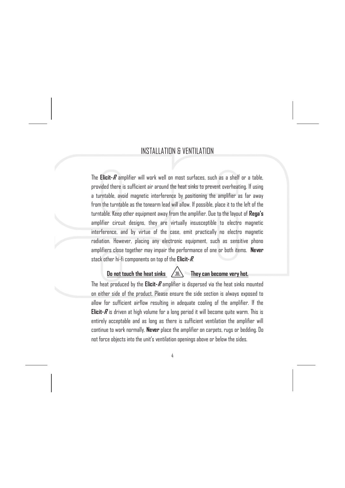#### INSTALLATION & VENTILATION

The **Elicit-R** amplifier will work well on most surfaces, such as a shelf or a table, provided there is sufficient air around the heat sinks to prevent overheating. If using a turntable, avoid magnetic interference by positioning the amplifier as far away from the turntable as the tonearm lead will allow. If possible, place it to the left of the turntable. Keep other equipment away from the amplifier. Due to the layout of **Rega's** amplifier circuit designs, they are virtually insusceptible to electro magnetic interference, and by virtue of the case, emit practically no electro magnetic radiation. However, placing any electronic equipment, such as sensitive phono amplifiers close together may impair the performance of one or both items. **Never** stack other hi-fi components on top of the **Elicit-R**.

## Do not touch the <u>heat sinks  $\boxed{\text{w}}$  They can become very hot.</u>

The heat produced by the **Elicit-R** amplifier is dispersed via the heat sinks mounted on either side of the product. Please ensure the side section is always exposed to allow for sufficient airflow resulting in adequate cooling of the amplifier. If the **Elicit-R** is driven at high volume for a long period it will become quite warm. This is entirely acceptable and as long as there is sufficient ventilation the amplifier will continue to work normally. **Never** place the amplifier on carpets, rugs or bedding. Do not force objects into the unit's ventilation openings above or below the sides.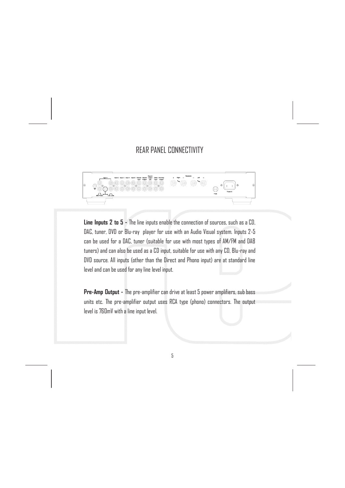## REAR PANEL CONNECTIVITY



**Line Inputs 2 to 5 -** The line inputs enable the connection of sources, such as a CD, DAC, tuner, DVD or Blu-ray player for use with an Audio Visual system. Inputs 2-5 can be used for a DAC, tuner (suitable for use with most types of AM/FM and DAB tuners) and can also be used as a CD input, suitable for use with any CD, Blu-ray and DVD source. All inputs (other than the Direct and Phono input) are at standard line level and can be used for any line level input.

**Pre-Amp Output -** The pre-amplifier can drive at least 5 power amplifiers, sub bass units etc. The pre-amplifier output uses RCA type (phono) connectors. The output level is 760mV with a line input level.

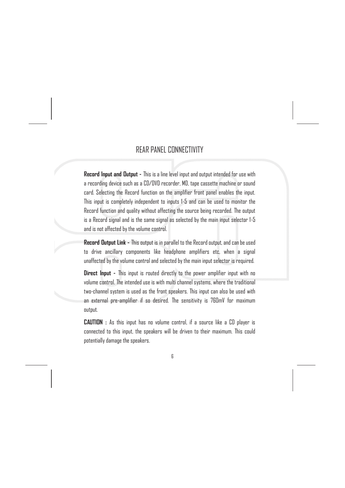#### REAR PANEL CONNECTIVITY

**Record Input and Output -** This is a line level input and output intended for use with a recording device such as a CD/DVD recorder, MD, tape cassette machine or sound card. Selecting the Record function on the amplifier front panel enables the input. This input is completely independent to inputs 1-5 and can be used to monitor the Record function and quality without affecting the source being recorded. The output is a Record signal and is the same signal as selected by the main input selector 1-5 and is not affected by the volume control.

**Record Output Link -** This output is in parallel to the Record output, and can be used to drive ancillary components like headphone amplifiers etc, when a signal unaffected by the volume control and selected by the main input selector is required.

**Direct Input -** This input is routed directly to the power amplifier input with no volume control. The intended use is with multi channel systems, where the traditional two-channel system is used as the front speakers. This input can also be used with an external pre-amplifier if so desired. The sensitivity is 760mV for maximum output.

**CAUTION :** As this input has no volume control, if a source like a CD player is connected to this input, the speakers will be driven to their maximum. This could potentially damage the speakers.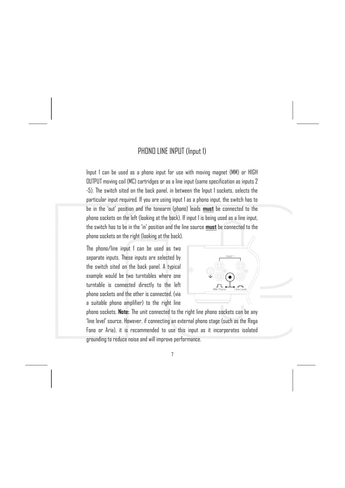## PHONO LINE INPUT (Input I)

Input 1 can be used as a phono input for use with moving magnet (MM) or HIGH OUTPUT moving coil (MC) cartridges or as a line input (same specification as inputs 2 -5). The switch sited on the back panel, in between the Input 1 sockets, selects the particular input required. If you are using input 1 as a phono input, the switch has to be in the 'out' position and the tonearm (phono) leads **must** be connected to the phono sockets on the left (looking at the back). If input 1 is being used as a line input, the switch has to be in the 'in' position and the line source **must** be connected to the phono sockets on the right (looking at the back).

The phono/line input 1 can be used as two separate inputs. These inputs are selected by the switch sited on the back panel. A typical example would be two turntables where one turntable is connected directly to the left phono sockets and the other is connected, (via a suitable phono amplifier) to the right line



phono sockets. **Note:** The unit connected to the right line phono sockets can be any 'line level' source. However, if connecting an external phono stage (such as the Rega Fono or Aria), it is recommended to use this input as it incorporates isolated grounding to reduce noise and will improve performance.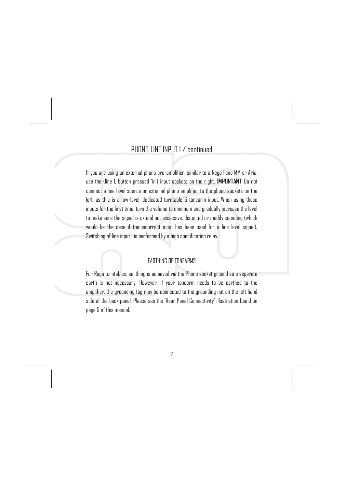#### PHONO LINE INPUT 1 / continued

If you are using an external phono pre-amplifier, similar to a Rega Fono MM or Aria, use the (line 1, button pressed 'in') input sockets on the right. **IMPORTANT** Do not connect a line level source or external phono amplifier to the phono sockets on the left, as this is a low-level, dedicated turntable & tonearm input. When using these inputs for the first time, turn the volume to minimum and gradually increase the level to make sure the signal is ok and not excessive, distorted or muddy sounding (which would be the case if the incorrect input has been used for a line level signal). Switching of line input 1 is performed by a high specification relay.

#### EARTHING OF TONEARMS

For Rega turntables, earthing is achieved via the Phono socket ground so a separate earth is not necessary. However, if your tonearm needs to be earthed to the amplifier, the grounding tag may be connected to the grounding nut on the left hand side of the back panel. Please see the 'Rear Panel Connectivity' illustration found on page 5 of this manual.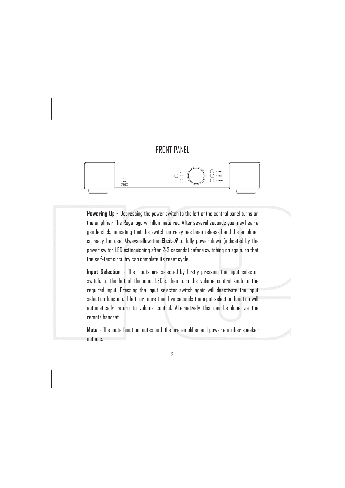## FRONT PANEL



**Powering Up -** Depressing the power switch to the left of the control panel turns on the amplifier. The Rega logo will illuminate red. After several seconds you may hear a gentle click, indicating that the switch-on relay has been released and the amplifier is ready for use. Always allow the **Elicit-R** to fully power down (indicated by the power switch LED extinguishing after 2-3 seconds) before switching on again, so that the self-test circuitry can complete its reset cycle.

**Input Selection -** The inputs are selected by firstly pressing the input selector switch, to the left of the input LED's, then turn the volume control knob to the required input. Pressing the input selector switch again will deactivate the input selection function. If left for more than five seconds the input selection function will automatically return to volume control. Alternatively this can be done via the remote handset.

**Mute -** The mute function mutes both the pre-amplifier and power amplifier speaker outputs.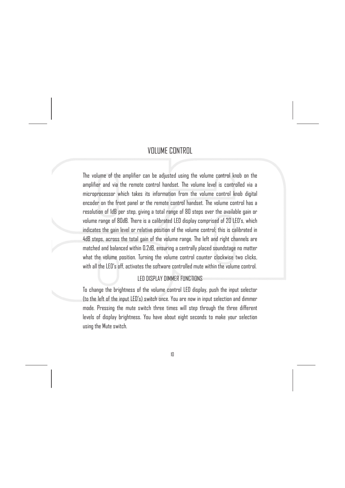#### VOLUME CONTROL

The volume of the amplifier can be adjusted using the volume control knob on the amplifier and via the remote control handset. The volume level is controlled via a microprocessor which takes its information from the volume control knob digital encoder on the front panel or the remote control handset. The volume control has a resolution of 1dB per step, giving a total range of 80 steps over the available gain or volume range of 80dB. There is a calibrated LED display comprised of 20 LED's, which indicates the gain level or relative position of the volume control; this is calibrated in 4dB steps, across the total gain of the volume range. The left and right channels are matched and balanced within 0.2dB, ensuring a centrally placed soundstage no matter what the volume position. Turning the volume control counter clockwise two clicks, with all the LED's off, activates the software controlled mute within the volume control.

#### LED DISPLAY DIMMER FUNCTIONS

To change the brightness of the volume control LED display, push the input selector (to the left of the input LED's) switch once. You are now in input selection and dimmer mode. Pressing the mute switch three times will step through the three different levels of display brightness. You have about eight seconds to make your selection using the Mute switch.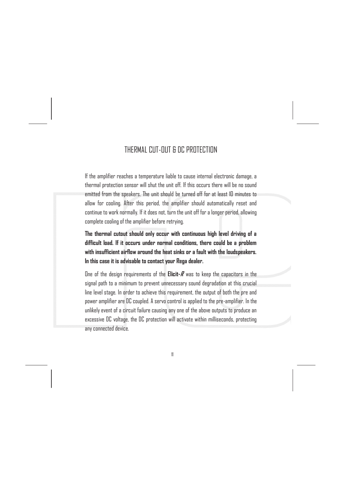### THERMAL CUT-OUT & DC PROTECTION

If the amplifier reaches a temperature liable to cause internal electronic damage, a thermal protection sensor will shut the unit off. If this occurs there will be no sound emitted from the speakers. The unit should be turned off for at least 10 minutes to allow for cooling. After this period, the amplifier should automatically reset and continue to work normally. If it does not, turn the unit off for a longer period, allowing complete cooling of the amplifier before retrying.

**The thermal cutout should only occur with continuous high level driving of a difficult load. If it occurs under normal conditions, there could be a problem with insufficient airflow around the heat sinks or a fault with the loudspeakers. In this case it is advisable to contact your Rega dealer.**

One of the design requirements of the **Elicit-R** was to keep the capacitors in the signal path to a minimum to prevent unnecessary sound degradation at this crucial line level stage. In order to achieve this requirement, the output of both the pre and power amplifier are DC coupled. A servo control is applied to the pre-amplifier. In the unlikely event of a circuit failure causing any one of the above outputs to produce an excessive DC voltage, the DC protection will activate within milliseconds, protecting any connected device.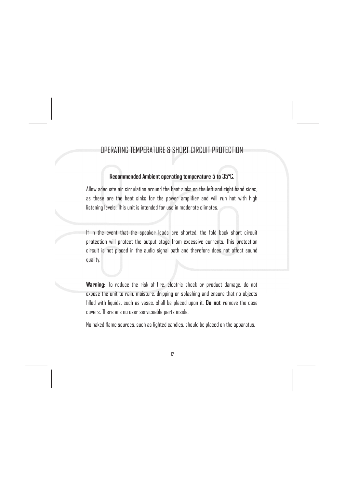#### OPERATING TEMPERATURE & SHORT CIRCUIT PROTECTION

#### **Recommended Ambient operating temperature 5 to 35°C**.

Allow adequate air circulation around the heat sinks on the left and right hand sides, as these are the heat sinks for the power amplifier and will run hot with high listening levels. This unit is intended for use in moderate climates.

If in the event that the speaker leads are shorted, the fold back short circuit protection will protect the output stage from excessive currents. This protection circuit is not placed in the audio signal path and therefore does not affect sound quality.

**Warning:** To reduce the risk of fire, electric shock or product damage, do not expose the unit to rain, moisture, dripping or splashing and ensure that no objects filled with liquids, such as vases, shall be placed upon it. **Do not** remove the case covers. There are no user serviceable parts inside.

No naked flame sources, such as lighted candles, should be placed on the apparatus.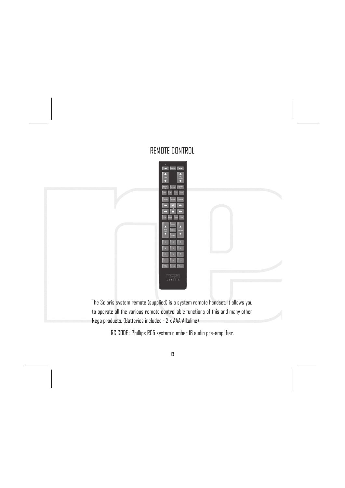## REMOTE CONTROL



RC CODE : Phillips RC5 system number 16 audio pre-amplifier.

<sup>13</sup>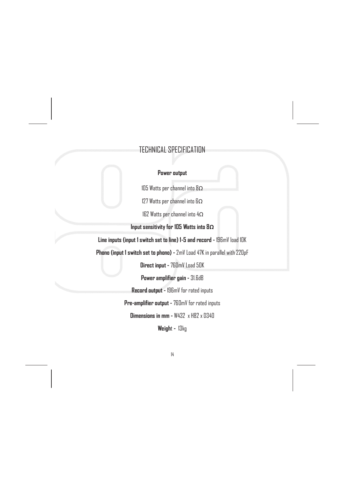## TECHNICAL SPECIFICATION

#### **Power output**

105 Watts per channel into 8Ω

127 Watts per channel into 6Ω

162 Watts per channel into 4Ω

**Input sensitivity for 105 Watts into 8Ω**

**Line inputs (input 1 switch set to line) 1-5 and record -** 196mV load 10K

**Phono (input 1 switch set to phono) -**2mV Load 47K in parallel with 220pF

**Direct input -** 760mV Load 50K

**Power amplifier gain -** 31.6dB

**Record output -** 196mV for rated inputs

**Pre-amplifier output -** 760mV for rated inputs

**Dimensions in mm -** W432 x H82 x D340

**Weigh**t **-** 13kg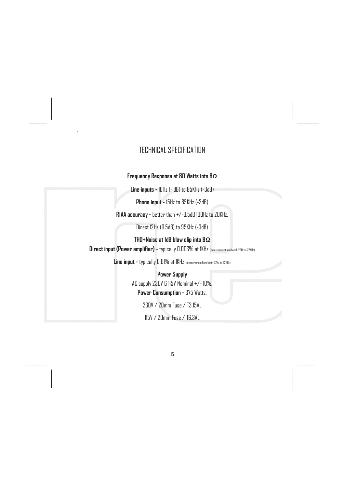## TECHNICAL SPECIFICATION

.

#### **Frequency Response at 80 Watts into 8Ω**

**Line inputs -** 10Hz (-1dB) to 85KHz (-3dB)

**Phono input -** 15Hz to 85KHz (-3dB)

**RIAA accuracy -** better than +/-0.5dB 100Hz to 20KHz.

Direct 12Hz (0.5dB) to 95KHz (-3dB)

**THD+Noise at 1dB blow clip into 8Ω Direct input (Power amplifier)** - typically 0.003% at IKHz (measurement bandwidth 22Hz to 22KHz)

Line input - typically 0.01% at 1KHz (measurement bandwidth 22Hz to 22KHz)

#### **Power Supply**

AC supply 230V & 115V Nominal +/- 10%. **Power Consumption -** 375 Watts.

230V / 20mm Fuse / T3.15AL

115V / 20mm Fuse / T6.3AL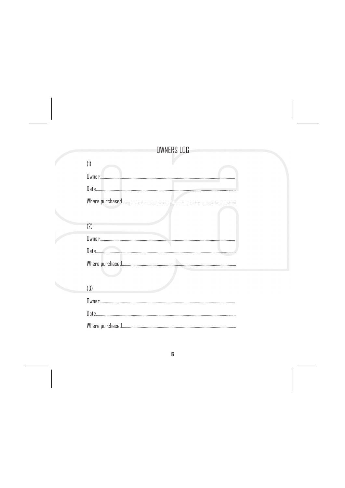| OWNERS LOG |
|------------|
| (1)        |
|            |
|            |
|            |
|            |
| (2)        |
|            |
|            |
|            |
|            |
| (3)        |
| Owner      |
|            |
|            |

 $\sqrt{6}$